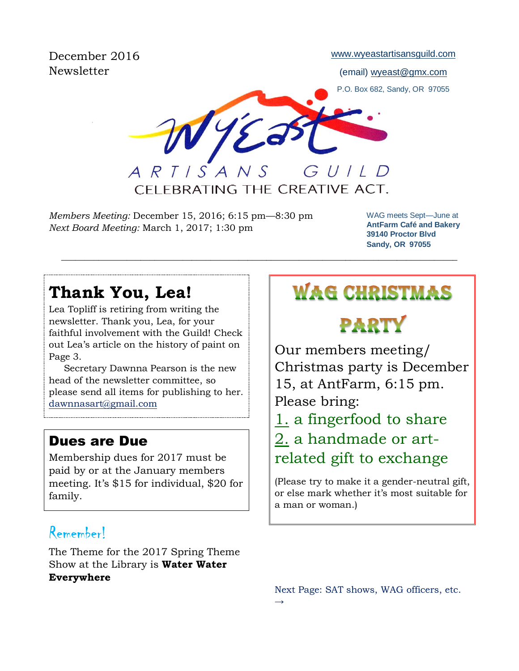December 2016 Newsletter

[www.wyeastartisansguild.com](http://www.wyeastartisansguild.com/)

(email) wyeast@gmx.com

P.O. Box 682, Sandy, OR 97055

GUILD  $ARTISANS$ 

CFI FBRATING THE CREATIVE ACT.

 $\_$  , and the set of the set of the set of the set of the set of the set of the set of the set of the set of the set of the set of the set of the set of the set of the set of the set of the set of the set of the set of th

*Members Meeting:* December 15, 2016; 6:15 pm—8:30 pm *Next Board Meeting:* March 1, 2017; 1:30 pm

WAG meets Sept—June at **AntFarm Café and Bakery 39140 Proctor Blvd Sandy, OR 97055**

# **Thank You, Lea!**

Lea Topliff is retiring from writing the newsletter. Thank you, Lea, for your faithful involvement with the Guild! Check out Lea's article on the history of paint on Page 3.

 Secretary Dawnna Pearson is the new head of the newsletter committee, so please send all items for publishing to her. [dawnnasart@gmail.com](mailto:dawnnasart@gmail.com)

## Dues are Due

Membership dues for 2017 must be paid by or at the January members meeting. It's \$15 for individual, \$20 for family.

## Remember!

The Theme for the 2017 Spring Theme Show at the Library is **Water Water Everywhere**

# **WAG CHRISTMAS**

PARTY

Our members meeting/ Christmas party is December 15, at AntFarm, 6:15 pm. Please bring: 1. a fingerfood to share 2. a handmade or art-

related gift to exchange

(Please try to make it a gender-neutral gift, or else mark whether it's most suitable for a man or woman.)

Next Page: SAT shows, WAG officers, etc.  $\rightarrow$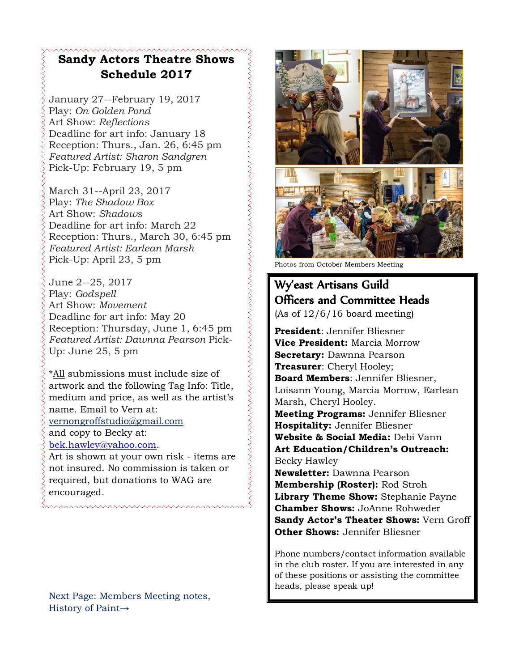## **Sandy Actors Theatre Shows Schedule 2017**

January 27--February 19, 2017 Play: *On Golden Pond* Art Show: *Reflections* Deadline for art info: January 18 Reception: Thurs., Jan. 26, 6:45 pm *Featured Artist: Sharon Sandgren* Pick-Up: February 19, 5 pm

March 31--April 23, 2017 Play: *The Shadow Box* Art Show: *Shadows* Deadline for art info: March 22 Reception: Thurs., March 30, 6:45 pm *Featured Artist: Earlean Marsh* Pick-Up: April 23, 5 pm

June 2--25, 2017 Play: *Godspell* Art Show: *Movement* Deadline for art info: May 20 Reception: Thursday, June 1, 6:45 pm *Featured Artist: Dawnna Pearson* Pick-Up: June 25, 5 pm

\*All submissions must include size of artwork and the following Tag Info: Title, medium and price, as well as the artist's name. Email to Vern at: [vernongroffstudio@gmail.com](mailto:Vernongroffstudio@gmail.com) and copy to Becky at: [bek.hawley@yahoo.com.](mailto:bek.hawley@yahoo.com) Art is shown at your own risk - items are not insured. No commission is taken or

required, but donations to WAG are encouraged.

Next Page: Members Meeting notes, History of Paint→



Photos from October Members Meeting

## Wy'east Artisans Guild Officers and Committee Heads

(As of 12/6/16 board meeting)

**President**: Jennifer Bliesner **Vice President:** Marcia Morrow **Secretary:** Dawnna Pearson **Treasurer**: Cheryl Hooley; **Board Members**: Jennifer Bliesner, Loisann Young, Marcia Morrow, Earlean Marsh, Cheryl Hooley. **Meeting Programs:** Jennifer Bliesner **Hospitality:** Jennifer Bliesner **Website & Social Media:** Debi Vann **Art Education/Children's Outreach:**  Becky Hawley

**Newsletter:** Dawnna Pearson **Membership (Roster):** Rod Stroh **Library Theme Show:** Stephanie Payne **Chamber Shows:** JoAnne Rohweder **Sandy Actor's Theater Shows:** Vern Groff **Other Shows:** Jennifer Bliesner

Phone numbers/contact information available in the club roster. If you are interested in any of these positions or assisting the committee heads, please speak up!